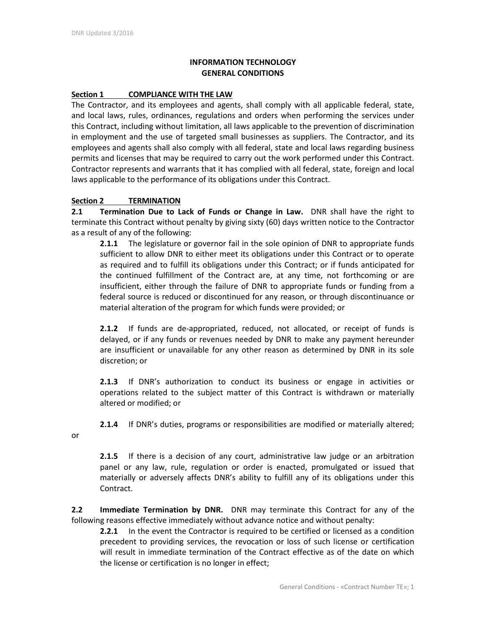## **INFORMATION TECHNOLOGY GENERAL CONDITIONS**

#### **Section 1 COMPLIANCE WITH THE LAW**

The Contractor, and its employees and agents, shall comply with all applicable federal, state, and local laws, rules, ordinances, regulations and orders when performing the services under this Contract, including without limitation, all laws applicable to the prevention of discrimination in employment and the use of targeted small businesses as suppliers. The Contractor, and its employees and agents shall also comply with all federal, state and local laws regarding business permits and licenses that may be required to carry out the work performed under this Contract. Contractor represents and warrants that it has complied with all federal, state, foreign and local laws applicable to the performance of its obligations under this Contract.

## **Section 2 TERMINATION**

**2.1 Termination Due to Lack of Funds or Change in Law.** DNR shall have the right to terminate this Contract without penalty by giving sixty (60) days written notice to the Contractor as a result of any of the following:

**2.1.1** The legislature or governor fail in the sole opinion of DNR to appropriate funds sufficient to allow DNR to either meet its obligations under this Contract or to operate as required and to fulfill its obligations under this Contract; or if funds anticipated for the continued fulfillment of the Contract are, at any time, not forthcoming or are insufficient, either through the failure of DNR to appropriate funds or funding from a federal source is reduced or discontinued for any reason, or through discontinuance or material alteration of the program for which funds were provided; or

**2.1.2** If funds are de-appropriated, reduced, not allocated, or receipt of funds is delayed, or if any funds or revenues needed by DNR to make any payment hereunder are insufficient or unavailable for any other reason as determined by DNR in its sole discretion; or

**2.1.3** If DNR's authorization to conduct its business or engage in activities or operations related to the subject matter of this Contract is withdrawn or materially altered or modified; or

**2.1.4** If DNR's duties, programs or responsibilities are modified or materially altered;

or

**2.1.5** If there is a decision of any court, administrative law judge or an arbitration panel or any law, rule, regulation or order is enacted, promulgated or issued that materially or adversely affects DNR's ability to fulfill any of its obligations under this Contract.

**2.2 Immediate Termination by DNR.** DNR may terminate this Contract for any of the following reasons effective immediately without advance notice and without penalty:

**2.2.1** In the event the Contractor is required to be certified or licensed as a condition precedent to providing services, the revocation or loss of such license or certification will result in immediate termination of the Contract effective as of the date on which the license or certification is no longer in effect;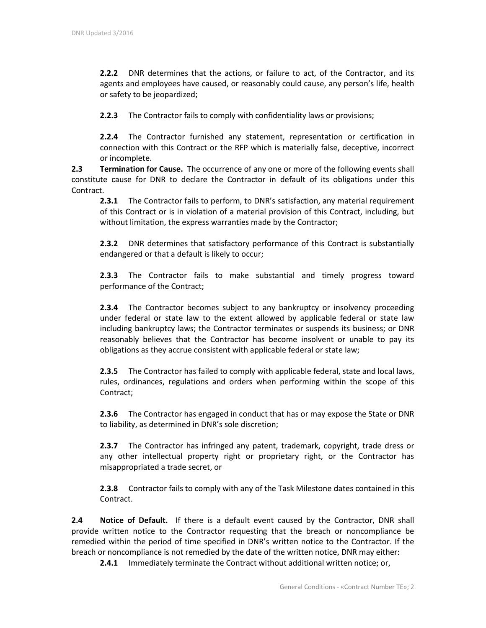**2.2.2** DNR determines that the actions, or failure to act, of the Contractor, and its agents and employees have caused, or reasonably could cause, any person's life, health or safety to be jeopardized;

**2.2.3** The Contractor fails to comply with confidentiality laws or provisions;

**2.2.4** The Contractor furnished any statement, representation or certification in connection with this Contract or the RFP which is materially false, deceptive, incorrect or incomplete.

**2.3 Termination for Cause.** The occurrence of any one or more of the following events shall constitute cause for DNR to declare the Contractor in default of its obligations under this Contract.

**2.3.1** The Contractor fails to perform, to DNR's satisfaction, any material requirement of this Contract or is in violation of a material provision of this Contract, including, but without limitation, the express warranties made by the Contractor;

**2.3.2** DNR determines that satisfactory performance of this Contract is substantially endangered or that a default is likely to occur;

**2.3.3** The Contractor fails to make substantial and timely progress toward performance of the Contract;

**2.3.4** The Contractor becomes subject to any bankruptcy or insolvency proceeding under federal or state law to the extent allowed by applicable federal or state law including bankruptcy laws; the Contractor terminates or suspends its business; or DNR reasonably believes that the Contractor has become insolvent or unable to pay its obligations as they accrue consistent with applicable federal or state law;

**2.3.5** The Contractor has failed to comply with applicable federal, state and local laws, rules, ordinances, regulations and orders when performing within the scope of this Contract;

**2.3.6** The Contractor has engaged in conduct that has or may expose the State or DNR to liability, as determined in DNR's sole discretion;

**2.3.7** The Contractor has infringed any patent, trademark, copyright, trade dress or any other intellectual property right or proprietary right, or the Contractor has misappropriated a trade secret, or

**2.3.8** Contractor fails to comply with any of the Task Milestone dates contained in this Contract.

**2.4 Notice of Default.** If there is a default event caused by the Contractor, DNR shall provide written notice to the Contractor requesting that the breach or noncompliance be remedied within the period of time specified in DNR's written notice to the Contractor. If the breach or noncompliance is not remedied by the date of the written notice, DNR may either:

**2.4.1** Immediately terminate the Contract without additional written notice; or,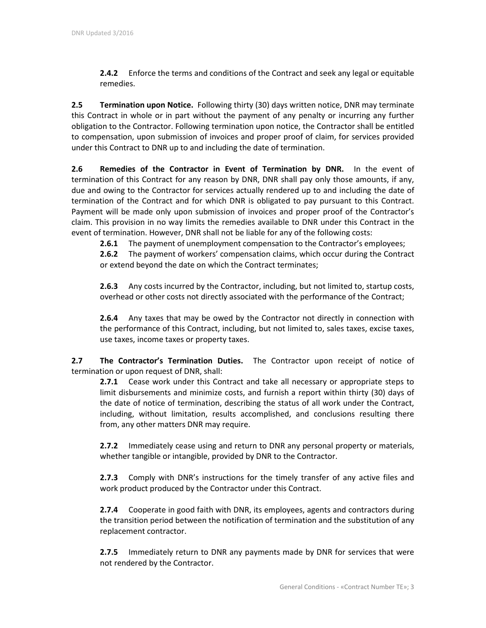**2.4.2** Enforce the terms and conditions of the Contract and seek any legal or equitable remedies.

**2.5 Termination upon Notice.** Following thirty (30) days written notice, DNR may terminate this Contract in whole or in part without the payment of any penalty or incurring any further obligation to the Contractor. Following termination upon notice, the Contractor shall be entitled to compensation, upon submission of invoices and proper proof of claim, for services provided under this Contract to DNR up to and including the date of termination.

**2.6 Remedies of the Contractor in Event of Termination by DNR.** In the event of termination of this Contract for any reason by DNR, DNR shall pay only those amounts, if any, due and owing to the Contractor for services actually rendered up to and including the date of termination of the Contract and for which DNR is obligated to pay pursuant to this Contract. Payment will be made only upon submission of invoices and proper proof of the Contractor's claim. This provision in no way limits the remedies available to DNR under this Contract in the event of termination. However, DNR shall not be liable for any of the following costs:

**2.6.1** The payment of unemployment compensation to the Contractor's employees;

**2.6.2** The payment of workers' compensation claims, which occur during the Contract or extend beyond the date on which the Contract terminates;

**2.6.3** Any costs incurred by the Contractor, including, but not limited to, startup costs, overhead or other costs not directly associated with the performance of the Contract;

**2.6.4** Any taxes that may be owed by the Contractor not directly in connection with the performance of this Contract, including, but not limited to, sales taxes, excise taxes, use taxes, income taxes or property taxes.

**2.7 The Contractor's Termination Duties.** The Contractor upon receipt of notice of termination or upon request of DNR, shall:

**2.7.1** Cease work under this Contract and take all necessary or appropriate steps to limit disbursements and minimize costs, and furnish a report within thirty (30) days of the date of notice of termination, describing the status of all work under the Contract, including, without limitation, results accomplished, and conclusions resulting there from, any other matters DNR may require.

**2.7.2** Immediately cease using and return to DNR any personal property or materials, whether tangible or intangible, provided by DNR to the Contractor.

**2.7.3** Comply with DNR's instructions for the timely transfer of any active files and work product produced by the Contractor under this Contract.

**2.7.4** Cooperate in good faith with DNR, its employees, agents and contractors during the transition period between the notification of termination and the substitution of any replacement contractor.

**2.7.5** Immediately return to DNR any payments made by DNR for services that were not rendered by the Contractor.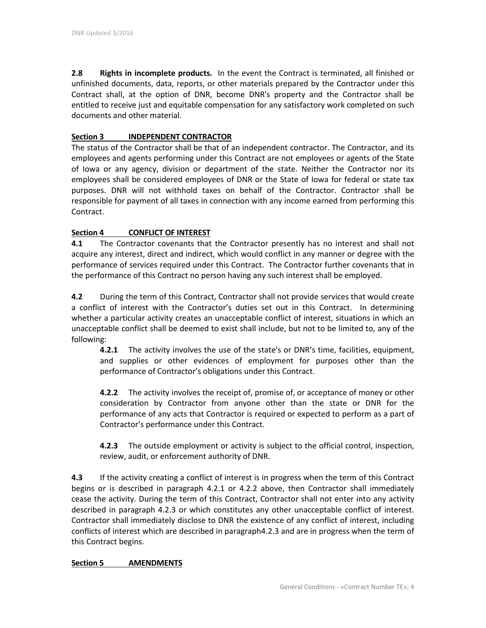**2.8 Rights in incomplete products.** In the event the Contract is terminated, all finished or unfinished documents, data, reports, or other materials prepared by the Contractor under this Contract shall, at the option of DNR, become DNR's property and the Contractor shall be entitled to receive just and equitable compensation for any satisfactory work completed on such documents and other material.

## **Section 3 INDEPENDENT CONTRACTOR**

The status of the Contractor shall be that of an independent contractor. The Contractor, and its employees and agents performing under this Contract are not employees or agents of the State of Iowa or any agency, division or department of the state. Neither the Contractor nor its employees shall be considered employees of DNR or the State of Iowa for federal or state tax purposes. DNR will not withhold taxes on behalf of the Contractor. Contractor shall be responsible for payment of all taxes in connection with any income earned from performing this Contract.

## **Section 4 CONFLICT OF INTEREST**

**4.1** The Contractor covenants that the Contractor presently has no interest and shall not acquire any interest, direct and indirect, which would conflict in any manner or degree with the performance of services required under this Contract. The Contractor further covenants that in the performance of this Contract no person having any such interest shall be employed.

**4.2** During the term of this Contract, Contractor shall not provide services that would create a conflict of interest with the Contractor's duties set out in this Contract. In determining whether a particular activity creates an unacceptable conflict of interest, situations in which an unacceptable conflict shall be deemed to exist shall include, but not to be limited to, any of the following:

**4.2.1** The activity involves the use of the state's or DNR's time, facilities, equipment, and supplies or other evidences of employment for purposes other than the performance of Contractor's obligations under this Contract.

**4.2.2** The activity involves the receipt of, promise of, or acceptance of money or other consideration by Contractor from anyone other than the state or DNR for the performance of any acts that Contractor is required or expected to perform as a part of Contractor's performance under this Contract.

**4.2.3** The outside employment or activity is subject to the official control, inspection, review, audit, or enforcement authority of DNR.

**4.3** If the activity creating a conflict of interest is in progress when the term of this Contract begins or is described in paragraph 4.2.1 or 4.2.2 above, then Contractor shall immediately cease the activity. During the term of this Contract, Contractor shall not enter into any activity described in paragraph 4.2.3 or which constitutes any other unacceptable conflict of interest. Contractor shall immediately disclose to DNR the existence of any conflict of interest, including conflicts of interest which are described in paragraph4.2.3 and are in progress when the term of this Contract begins.

## **Section 5 AMENDMENTS**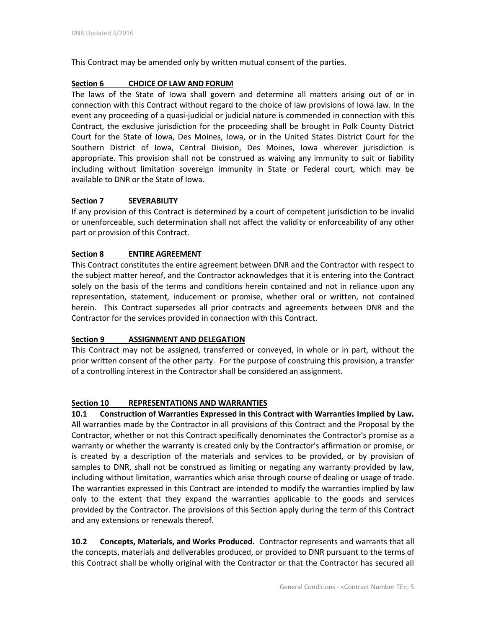This Contract may be amended only by written mutual consent of the parties.

## **Section 6 CHOICE OF LAW AND FORUM**

The laws of the State of Iowa shall govern and determine all matters arising out of or in connection with this Contract without regard to the choice of law provisions of Iowa law. In the event any proceeding of a quasi-judicial or judicial nature is commended in connection with this Contract, the exclusive jurisdiction for the proceeding shall be brought in Polk County District Court for the State of Iowa, Des Moines, Iowa, or in the United States District Court for the Southern District of Iowa, Central Division, Des Moines, Iowa wherever jurisdiction is appropriate. This provision shall not be construed as waiving any immunity to suit or liability including without limitation sovereign immunity in State or Federal court, which may be available to DNR or the State of Iowa.

## **Section 7 SEVERABILITY**

If any provision of this Contract is determined by a court of competent jurisdiction to be invalid or unenforceable, such determination shall not affect the validity or enforceability of any other part or provision of this Contract.

## **Section 8 ENTIRE AGREEMENT**

This Contract constitutes the entire agreement between DNR and the Contractor with respect to the subject matter hereof, and the Contractor acknowledges that it is entering into the Contract solely on the basis of the terms and conditions herein contained and not in reliance upon any representation, statement, inducement or promise, whether oral or written, not contained herein. This Contract supersedes all prior contracts and agreements between DNR and the Contractor for the services provided in connection with this Contract.

## **Section 9 ASSIGNMENT AND DELEGATION**

This Contract may not be assigned, transferred or conveyed, in whole or in part, without the prior written consent of the other party. For the purpose of construing this provision, a transfer of a controlling interest in the Contractor shall be considered an assignment.

## **Section 10 REPRESENTATIONS AND WARRANTIES**

**10.1 Construction of Warranties Expressed in this Contract with Warranties Implied by Law.**  All warranties made by the Contractor in all provisions of this Contract and the Proposal by the Contractor, whether or not this Contract specifically denominates the Contractor's promise as a warranty or whether the warranty is created only by the Contractor's affirmation or promise, or is created by a description of the materials and services to be provided, or by provision of samples to DNR, shall not be construed as limiting or negating any warranty provided by law, including without limitation, warranties which arise through course of dealing or usage of trade. The warranties expressed in this Contract are intended to modify the warranties implied by law only to the extent that they expand the warranties applicable to the goods and services provided by the Contractor. The provisions of this Section apply during the term of this Contract and any extensions or renewals thereof.

**10.2 Concepts, Materials, and Works Produced.** Contractor represents and warrants that all the concepts, materials and deliverables produced, or provided to DNR pursuant to the terms of this Contract shall be wholly original with the Contractor or that the Contractor has secured all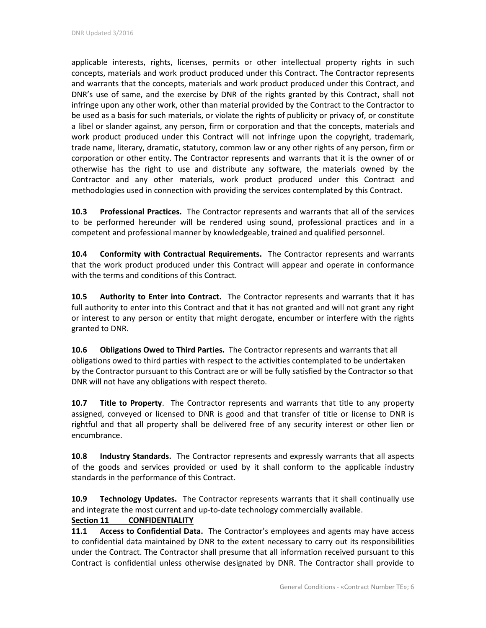applicable interests, rights, licenses, permits or other intellectual property rights in such concepts, materials and work product produced under this Contract. The Contractor represents and warrants that the concepts, materials and work product produced under this Contract, and DNR's use of same, and the exercise by DNR of the rights granted by this Contract, shall not infringe upon any other work, other than material provided by the Contract to the Contractor to be used as a basis for such materials, or violate the rights of publicity or privacy of, or constitute a libel or slander against, any person, firm or corporation and that the concepts, materials and work product produced under this Contract will not infringe upon the copyright, trademark, trade name, literary, dramatic, statutory, common law or any other rights of any person, firm or corporation or other entity. The Contractor represents and warrants that it is the owner of or otherwise has the right to use and distribute any software, the materials owned by the Contractor and any other materials, work product produced under this Contract and methodologies used in connection with providing the services contemplated by this Contract.

**10.3 Professional Practices.** The Contractor represents and warrants that all of the services to be performed hereunder will be rendered using sound, professional practices and in a competent and professional manner by knowledgeable, trained and qualified personnel.

**10.4 Conformity with Contractual Requirements.** The Contractor represents and warrants that the work product produced under this Contract will appear and operate in conformance with the terms and conditions of this Contract.

**10.5 Authority to Enter into Contract.** The Contractor represents and warrants that it has full authority to enter into this Contract and that it has not granted and will not grant any right or interest to any person or entity that might derogate, encumber or interfere with the rights granted to DNR.

**10.6 Obligations Owed to Third Parties.** The Contractor represents and warrants that all obligations owed to third parties with respect to the activities contemplated to be undertaken by the Contractor pursuant to this Contract are or will be fully satisfied by the Contractor so that DNR will not have any obligations with respect thereto.

**10.7 Title to Property**. The Contractor represents and warrants that title to any property assigned, conveyed or licensed to DNR is good and that transfer of title or license to DNR is rightful and that all property shall be delivered free of any security interest or other lien or encumbrance.

**10.8 Industry Standards.** The Contractor represents and expressly warrants that all aspects of the goods and services provided or used by it shall conform to the applicable industry standards in the performance of this Contract.

**10.9 Technology Updates.** The Contractor represents warrants that it shall continually use and integrate the most current and up-to-date technology commercially available.

# **Section 11 CONFIDENTIALITY**

**11.1 Access to Confidential Data.** The Contractor's employees and agents may have access to confidential data maintained by DNR to the extent necessary to carry out its responsibilities under the Contract. The Contractor shall presume that all information received pursuant to this Contract is confidential unless otherwise designated by DNR. The Contractor shall provide to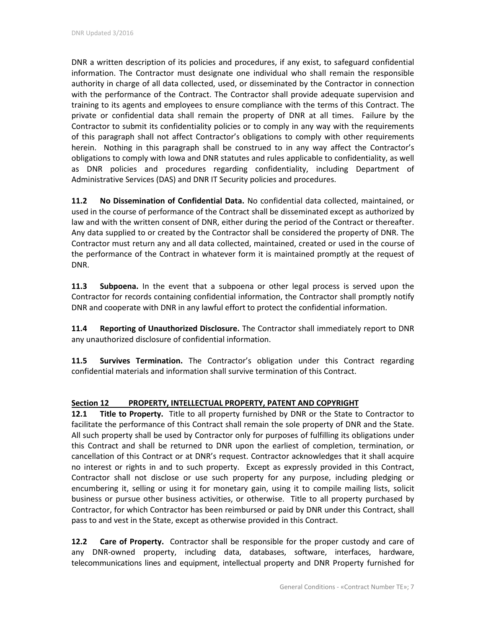DNR a written description of its policies and procedures, if any exist, to safeguard confidential information. The Contractor must designate one individual who shall remain the responsible authority in charge of all data collected, used, or disseminated by the Contractor in connection with the performance of the Contract. The Contractor shall provide adequate supervision and training to its agents and employees to ensure compliance with the terms of this Contract. The private or confidential data shall remain the property of DNR at all times. Failure by the Contractor to submit its confidentiality policies or to comply in any way with the requirements of this paragraph shall not affect Contractor's obligations to comply with other requirements herein. Nothing in this paragraph shall be construed to in any way affect the Contractor's obligations to comply with Iowa and DNR statutes and rules applicable to confidentiality, as well as DNR policies and procedures regarding confidentiality, including Department of Administrative Services (DAS) and DNR IT Security policies and procedures.

**11.2 No Dissemination of Confidential Data.** No confidential data collected, maintained, or used in the course of performance of the Contract shall be disseminated except as authorized by law and with the written consent of DNR, either during the period of the Contract or thereafter. Any data supplied to or created by the Contractor shall be considered the property of DNR. The Contractor must return any and all data collected, maintained, created or used in the course of the performance of the Contract in whatever form it is maintained promptly at the request of DNR.

**11.3 Subpoena.** In the event that a subpoena or other legal process is served upon the Contractor for records containing confidential information, the Contractor shall promptly notify DNR and cooperate with DNR in any lawful effort to protect the confidential information.

**11.4 Reporting of Unauthorized Disclosure.** The Contractor shall immediately report to DNR any unauthorized disclosure of confidential information.

**11.5 Survives Termination.** The Contractor's obligation under this Contract regarding confidential materials and information shall survive termination of this Contract.

## **Section 12 PROPERTY, INTELLECTUAL PROPERTY, PATENT AND COPYRIGHT**

**12.1 Title to Property.** Title to all property furnished by DNR or the State to Contractor to facilitate the performance of this Contract shall remain the sole property of DNR and the State. All such property shall be used by Contractor only for purposes of fulfilling its obligations under this Contract and shall be returned to DNR upon the earliest of completion, termination, or cancellation of this Contract or at DNR's request. Contractor acknowledges that it shall acquire no interest or rights in and to such property. Except as expressly provided in this Contract, Contractor shall not disclose or use such property for any purpose, including pledging or encumbering it, selling or using it for monetary gain, using it to compile mailing lists, solicit business or pursue other business activities, or otherwise. Title to all property purchased by Contractor, for which Contractor has been reimbursed or paid by DNR under this Contract, shall pass to and vest in the State, except as otherwise provided in this Contract.

**12.2 Care of Property.** Contractor shall be responsible for the proper custody and care of any DNR-owned property, including data, databases, software, interfaces, hardware, telecommunications lines and equipment, intellectual property and DNR Property furnished for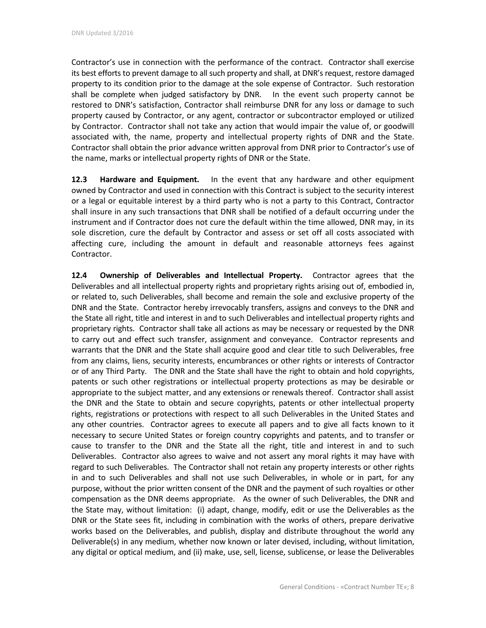Contractor's use in connection with the performance of the contract. Contractor shall exercise its best efforts to prevent damage to all such property and shall, at DNR's request, restore damaged property to its condition prior to the damage at the sole expense of Contractor. Such restoration shall be complete when judged satisfactory by DNR. In the event such property cannot be restored to DNR's satisfaction, Contractor shall reimburse DNR for any loss or damage to such property caused by Contractor, or any agent, contractor or subcontractor employed or utilized by Contractor. Contractor shall not take any action that would impair the value of, or goodwill associated with, the name, property and intellectual property rights of DNR and the State. Contractor shall obtain the prior advance written approval from DNR prior to Contractor's use of the name, marks or intellectual property rights of DNR or the State.

**12.3 Hardware and Equipment.** In the event that any hardware and other equipment owned by Contractor and used in connection with this Contract is subject to the security interest or a legal or equitable interest by a third party who is not a party to this Contract, Contractor shall insure in any such transactions that DNR shall be notified of a default occurring under the instrument and if Contractor does not cure the default within the time allowed, DNR may, in its sole discretion, cure the default by Contractor and assess or set off all costs associated with affecting cure, including the amount in default and reasonable attorneys fees against Contractor.

**12.4 Ownership of Deliverables and Intellectual Property.** Contractor agrees that the Deliverables and all intellectual property rights and proprietary rights arising out of, embodied in, or related to, such Deliverables, shall become and remain the sole and exclusive property of the DNR and the State. Contractor hereby irrevocably transfers, assigns and conveys to the DNR and the State all right, title and interest in and to such Deliverables and intellectual property rights and proprietary rights. Contractor shall take all actions as may be necessary or requested by the DNR to carry out and effect such transfer, assignment and conveyance. Contractor represents and warrants that the DNR and the State shall acquire good and clear title to such Deliverables, free from any claims, liens, security interests, encumbrances or other rights or interests of Contractor or of any Third Party. The DNR and the State shall have the right to obtain and hold copyrights, patents or such other registrations or intellectual property protections as may be desirable or appropriate to the subject matter, and any extensions or renewals thereof. Contractor shall assist the DNR and the State to obtain and secure copyrights, patents or other intellectual property rights, registrations or protections with respect to all such Deliverables in the United States and any other countries. Contractor agrees to execute all papers and to give all facts known to it necessary to secure United States or foreign country copyrights and patents, and to transfer or cause to transfer to the DNR and the State all the right, title and interest in and to such Deliverables. Contractor also agrees to waive and not assert any moral rights it may have with regard to such Deliverables. The Contractor shall not retain any property interests or other rights in and to such Deliverables and shall not use such Deliverables, in whole or in part, for any purpose, without the prior written consent of the DNR and the payment of such royalties or other compensation as the DNR deems appropriate. As the owner of such Deliverables, the DNR and the State may, without limitation: (i) adapt, change, modify, edit or use the Deliverables as the DNR or the State sees fit, including in combination with the works of others, prepare derivative works based on the Deliverables, and publish, display and distribute throughout the world any Deliverable(s) in any medium, whether now known or later devised, including, without limitation, any digital or optical medium, and (ii) make, use, sell, license, sublicense, or lease the Deliverables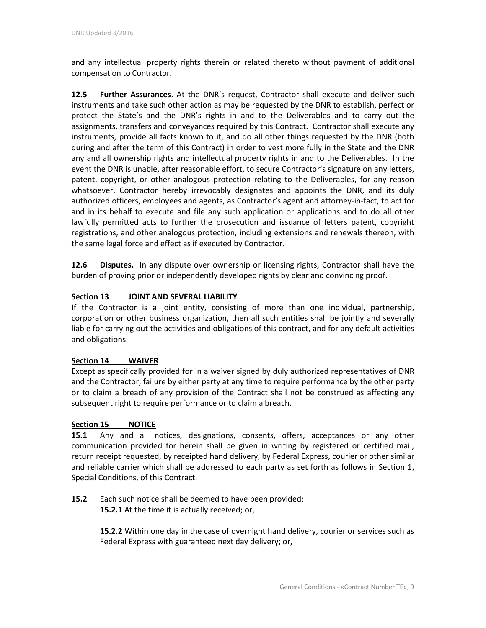and any intellectual property rights therein or related thereto without payment of additional compensation to Contractor.

**12.5 Further Assurances**. At the DNR's request, Contractor shall execute and deliver such instruments and take such other action as may be requested by the DNR to establish, perfect or protect the State's and the DNR's rights in and to the Deliverables and to carry out the assignments, transfers and conveyances required by this Contract. Contractor shall execute any instruments, provide all facts known to it, and do all other things requested by the DNR (both during and after the term of this Contract) in order to vest more fully in the State and the DNR any and all ownership rights and intellectual property rights in and to the Deliverables. In the event the DNR is unable, after reasonable effort, to secure Contractor's signature on any letters, patent, copyright, or other analogous protection relating to the Deliverables, for any reason whatsoever, Contractor hereby irrevocably designates and appoints the DNR, and its duly authorized officers, employees and agents, as Contractor's agent and attorney-in-fact, to act for and in its behalf to execute and file any such application or applications and to do all other lawfully permitted acts to further the prosecution and issuance of letters patent, copyright registrations, and other analogous protection, including extensions and renewals thereon, with the same legal force and effect as if executed by Contractor.

**12.6 Disputes.** In any dispute over ownership or licensing rights, Contractor shall have the burden of proving prior or independently developed rights by clear and convincing proof.

#### **Section 13 JOINT AND SEVERAL LIABILITY**

If the Contractor is a joint entity, consisting of more than one individual, partnership, corporation or other business organization, then all such entities shall be jointly and severally liable for carrying out the activities and obligations of this contract, and for any default activities and obligations.

#### **Section 14 WAIVER**

Except as specifically provided for in a waiver signed by duly authorized representatives of DNR and the Contractor, failure by either party at any time to require performance by the other party or to claim a breach of any provision of the Contract shall not be construed as affecting any subsequent right to require performance or to claim a breach.

#### **Section 15 NOTICE**

**15.1** Any and all notices, designations, consents, offers, acceptances or any other communication provided for herein shall be given in writing by registered or certified mail, return receipt requested, by receipted hand delivery, by Federal Express, courier or other similar and reliable carrier which shall be addressed to each party as set forth as follows in Section 1, Special Conditions, of this Contract.

**15.2** Each such notice shall be deemed to have been provided: **15.2.1** At the time it is actually received; or,

> **15.2.2** Within one day in the case of overnight hand delivery, courier or services such as Federal Express with guaranteed next day delivery; or,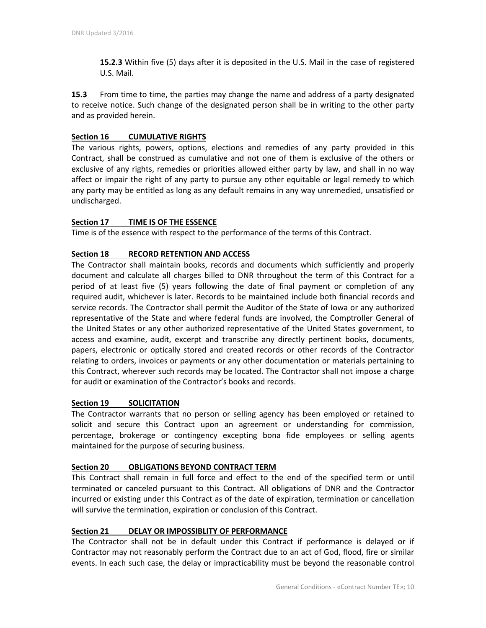**15.2.3** Within five (5) days after it is deposited in the U.S. Mail in the case of registered U.S. Mail.

**15.3** From time to time, the parties may change the name and address of a party designated to receive notice. Such change of the designated person shall be in writing to the other party and as provided herein.

### **Section 16 CUMULATIVE RIGHTS**

The various rights, powers, options, elections and remedies of any party provided in this Contract, shall be construed as cumulative and not one of them is exclusive of the others or exclusive of any rights, remedies or priorities allowed either party by law, and shall in no way affect or impair the right of any party to pursue any other equitable or legal remedy to which any party may be entitled as long as any default remains in any way unremedied, unsatisfied or undischarged.

## **Section 17 TIME IS OF THE ESSENCE**

Time is of the essence with respect to the performance of the terms of this Contract.

#### **Section 18 RECORD RETENTION AND ACCESS**

The Contractor shall maintain books, records and documents which sufficiently and properly document and calculate all charges billed to DNR throughout the term of this Contract for a period of at least five (5) years following the date of final payment or completion of any required audit, whichever is later. Records to be maintained include both financial records and service records. The Contractor shall permit the Auditor of the State of Iowa or any authorized representative of the State and where federal funds are involved, the Comptroller General of the United States or any other authorized representative of the United States government, to access and examine, audit, excerpt and transcribe any directly pertinent books, documents, papers, electronic or optically stored and created records or other records of the Contractor relating to orders, invoices or payments or any other documentation or materials pertaining to this Contract, wherever such records may be located. The Contractor shall not impose a charge for audit or examination of the Contractor's books and records.

#### **Section 19 SOLICITATION**

The Contractor warrants that no person or selling agency has been employed or retained to solicit and secure this Contract upon an agreement or understanding for commission, percentage, brokerage or contingency excepting bona fide employees or selling agents maintained for the purpose of securing business.

#### **Section 20 OBLIGATIONS BEYOND CONTRACT TERM**

This Contract shall remain in full force and effect to the end of the specified term or until terminated or canceled pursuant to this Contract. All obligations of DNR and the Contractor incurred or existing under this Contract as of the date of expiration, termination or cancellation will survive the termination, expiration or conclusion of this Contract.

#### **Section 21 DELAY OR IMPOSSIBLITY OF PERFORMANCE**

The Contractor shall not be in default under this Contract if performance is delayed or if Contractor may not reasonably perform the Contract due to an act of God, flood, fire or similar events. In each such case, the delay or impracticability must be beyond the reasonable control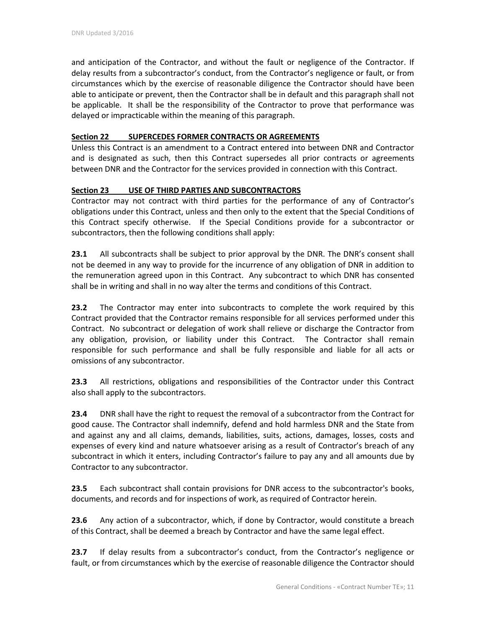and anticipation of the Contractor, and without the fault or negligence of the Contractor. If delay results from a subcontractor's conduct, from the Contractor's negligence or fault, or from circumstances which by the exercise of reasonable diligence the Contractor should have been able to anticipate or prevent, then the Contractor shall be in default and this paragraph shall not be applicable. It shall be the responsibility of the Contractor to prove that performance was delayed or impracticable within the meaning of this paragraph.

## **Section 22 SUPERCEDES FORMER CONTRACTS OR AGREEMENTS**

Unless this Contract is an amendment to a Contract entered into between DNR and Contractor and is designated as such, then this Contract supersedes all prior contracts or agreements between DNR and the Contractor for the services provided in connection with this Contract.

## **Section 23 USE OF THIRD PARTIES AND SUBCONTRACTORS**

Contractor may not contract with third parties for the performance of any of Contractor's obligations under this Contract, unless and then only to the extent that the Special Conditions of this Contract specify otherwise. If the Special Conditions provide for a subcontractor or subcontractors, then the following conditions shall apply:

**23.1** All subcontracts shall be subject to prior approval by the DNR. The DNR's consent shall not be deemed in any way to provide for the incurrence of any obligation of DNR in addition to the remuneration agreed upon in this Contract. Any subcontract to which DNR has consented shall be in writing and shall in no way alter the terms and conditions of this Contract.

**23.2** The Contractor may enter into subcontracts to complete the work required by this Contract provided that the Contractor remains responsible for all services performed under this Contract. No subcontract or delegation of work shall relieve or discharge the Contractor from any obligation, provision, or liability under this Contract. The Contractor shall remain responsible for such performance and shall be fully responsible and liable for all acts or omissions of any subcontractor.

**23.3** All restrictions, obligations and responsibilities of the Contractor under this Contract also shall apply to the subcontractors.

**23.4** DNR shall have the right to request the removal of a subcontractor from the Contract for good cause. The Contractor shall indemnify, defend and hold harmless DNR and the State from and against any and all claims, demands, liabilities, suits, actions, damages, losses, costs and expenses of every kind and nature whatsoever arising as a result of Contractor's breach of any subcontract in which it enters, including Contractor's failure to pay any and all amounts due by Contractor to any subcontractor.

**23.5** Each subcontract shall contain provisions for DNR access to the subcontractor's books, documents, and records and for inspections of work, as required of Contractor herein.

**23.6** Any action of a subcontractor, which, if done by Contractor, would constitute a breach of this Contract, shall be deemed a breach by Contractor and have the same legal effect.

**23.7** If delay results from a subcontractor's conduct, from the Contractor's negligence or fault, or from circumstances which by the exercise of reasonable diligence the Contractor should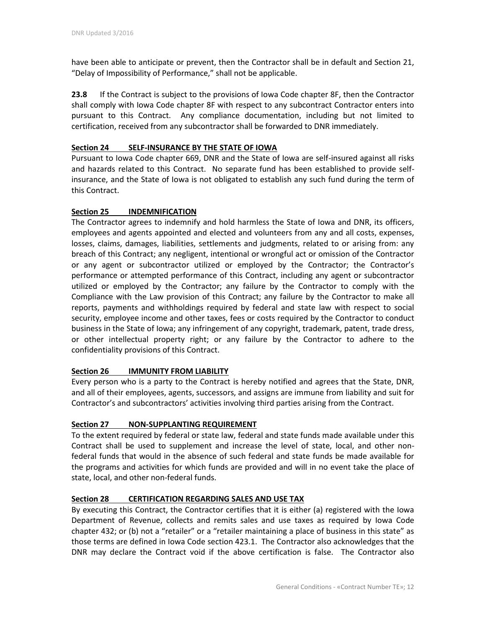have been able to anticipate or prevent, then the Contractor shall be in default and Section 21, "Delay of Impossibility of Performance," shall not be applicable.

**23.8** If the Contract is subject to the provisions of Iowa Code chapter 8F, then the Contractor shall comply with Iowa Code chapter 8F with respect to any subcontract Contractor enters into pursuant to this Contract. Any compliance documentation, including but not limited to certification, received from any subcontractor shall be forwarded to DNR immediately.

## **Section 24 SELF-INSURANCE BY THE STATE OF IOWA**

Pursuant to Iowa Code chapter 669, DNR and the State of Iowa are self-insured against all risks and hazards related to this Contract. No separate fund has been established to provide selfinsurance, and the State of Iowa is not obligated to establish any such fund during the term of this Contract.

## **Section 25 INDEMNIFICATION**

The Contractor agrees to indemnify and hold harmless the State of Iowa and DNR, its officers, employees and agents appointed and elected and volunteers from any and all costs, expenses, losses, claims, damages, liabilities, settlements and judgments, related to or arising from: any breach of this Contract; any negligent, intentional or wrongful act or omission of the Contractor or any agent or subcontractor utilized or employed by the Contractor; the Contractor's performance or attempted performance of this Contract, including any agent or subcontractor utilized or employed by the Contractor; any failure by the Contractor to comply with the Compliance with the Law provision of this Contract; any failure by the Contractor to make all reports, payments and withholdings required by federal and state law with respect to social security, employee income and other taxes, fees or costs required by the Contractor to conduct business in the State of Iowa; any infringement of any copyright, trademark, patent, trade dress, or other intellectual property right; or any failure by the Contractor to adhere to the confidentiality provisions of this Contract.

## **Section 26 IMMUNITY FROM LIABILITY**

Every person who is a party to the Contract is hereby notified and agrees that the State, DNR, and all of their employees, agents, successors, and assigns are immune from liability and suit for Contractor's and subcontractors' activities involving third parties arising from the Contract.

## **Section 27 NON-SUPPLANTING REQUIREMENT**

To the extent required by federal or state law, federal and state funds made available under this Contract shall be used to supplement and increase the level of state, local, and other nonfederal funds that would in the absence of such federal and state funds be made available for the programs and activities for which funds are provided and will in no event take the place of state, local, and other non-federal funds.

## **Section 28 CERTIFICATION REGARDING SALES AND USE TAX**

By executing this Contract, the Contractor certifies that it is either (a) registered with the Iowa Department of Revenue, collects and remits sales and use taxes as required by Iowa Code chapter 432; or (b) not a "retailer" or a "retailer maintaining a place of business in this state" as those terms are defined in Iowa Code section 423.1. The Contractor also acknowledges that the DNR may declare the Contract void if the above certification is false. The Contractor also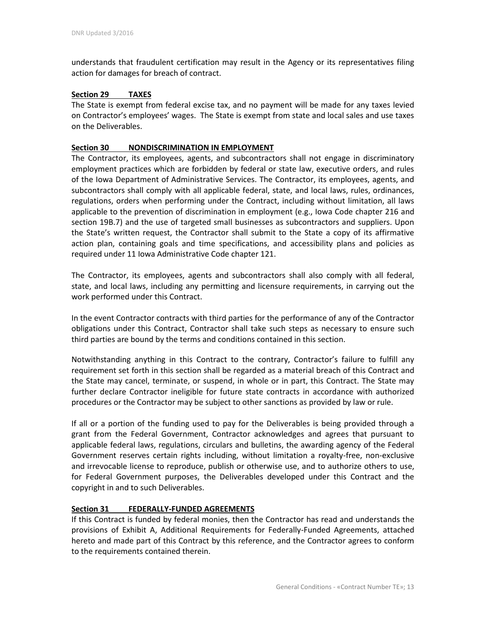understands that fraudulent certification may result in the Agency or its representatives filing action for damages for breach of contract.

#### **Section 29 TAXES**

The State is exempt from federal excise tax, and no payment will be made for any taxes levied on Contractor's employees' wages. The State is exempt from state and local sales and use taxes on the Deliverables.

#### **Section 30 NONDISCRIMINATION IN EMPLOYMENT**

The Contractor, its employees, agents, and subcontractors shall not engage in discriminatory employment practices which are forbidden by federal or state law, executive orders, and rules of the Iowa Department of Administrative Services. The Contractor, its employees, agents, and subcontractors shall comply with all applicable federal, state, and local laws, rules, ordinances, regulations, orders when performing under the Contract, including without limitation, all laws applicable to the prevention of discrimination in employment (e.g., Iowa Code chapter 216 and section 19B.7) and the use of targeted small businesses as subcontractors and suppliers. Upon the State's written request, the Contractor shall submit to the State a copy of its affirmative action plan, containing goals and time specifications, and accessibility plans and policies as required under 11 Iowa Administrative Code chapter 121.

The Contractor, its employees, agents and subcontractors shall also comply with all federal, state, and local laws, including any permitting and licensure requirements, in carrying out the work performed under this Contract.

In the event Contractor contracts with third parties for the performance of any of the Contractor obligations under this Contract, Contractor shall take such steps as necessary to ensure such third parties are bound by the terms and conditions contained in this section.

Notwithstanding anything in this Contract to the contrary, Contractor's failure to fulfill any requirement set forth in this section shall be regarded as a material breach of this Contract and the State may cancel, terminate, or suspend, in whole or in part, this Contract. The State may further declare Contractor ineligible for future state contracts in accordance with authorized procedures or the Contractor may be subject to other sanctions as provided by law or rule.

If all or a portion of the funding used to pay for the Deliverables is being provided through a grant from the Federal Government, Contractor acknowledges and agrees that pursuant to applicable federal laws, regulations, circulars and bulletins, the awarding agency of the Federal Government reserves certain rights including, without limitation a royalty-free, non-exclusive and irrevocable license to reproduce, publish or otherwise use, and to authorize others to use, for Federal Government purposes, the Deliverables developed under this Contract and the copyright in and to such Deliverables.

#### **Section 31 FEDERALLY-FUNDED AGREEMENTS**

If this Contract is funded by federal monies, then the Contractor has read and understands the provisions of Exhibit A, Additional Requirements for Federally-Funded Agreements, attached hereto and made part of this Contract by this reference, and the Contractor agrees to conform to the requirements contained therein.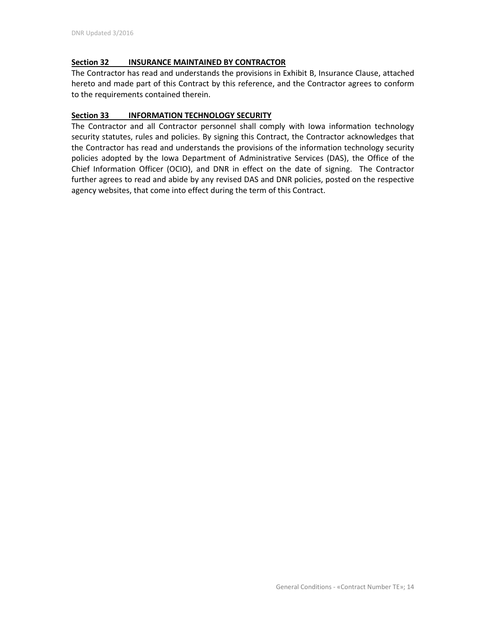## **Section 32 INSURANCE MAINTAINED BY CONTRACTOR**

The Contractor has read and understands the provisions in Exhibit B, Insurance Clause, attached hereto and made part of this Contract by this reference, and the Contractor agrees to conform to the requirements contained therein.

## **Section 33 INFORMATION TECHNOLOGY SECURITY**

The Contractor and all Contractor personnel shall comply with Iowa information technology security statutes, rules and policies. By signing this Contract, the Contractor acknowledges that the Contractor has read and understands the provisions of the information technology security policies adopted by the Iowa Department of Administrative Services (DAS), the Office of the Chief Information Officer (OCIO), and DNR in effect on the date of signing. The Contractor further agrees to read and abide by any revised DAS and DNR policies, posted on the respective agency websites, that come into effect during the term of this Contract.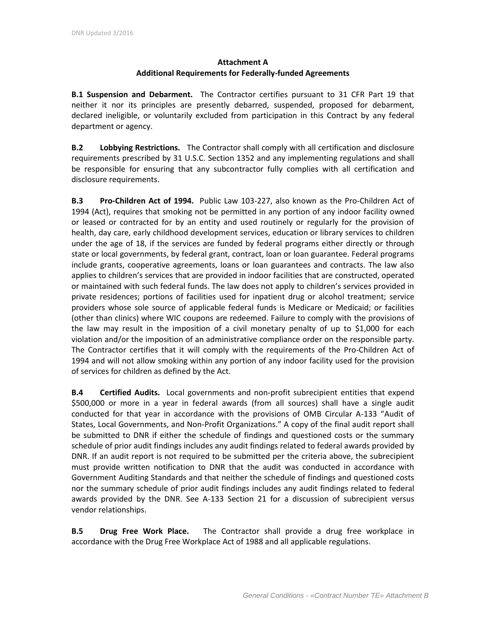# **Attachment A Additional Requirements for Federally-funded Agreements**

**B.1 Suspension and Debarment.** The Contractor certifies pursuant to 31 CFR Part 19 that neither it nor its principles are presently debarred, suspended, proposed for debarment, declared ineligible, or voluntarily excluded from participation in this Contract by any federal department or agency.

**B.2 Lobbying Restrictions.** The Contractor shall comply with all certification and disclosure requirements prescribed by 31 U.S.C. Section 1352 and any implementing regulations and shall be responsible for ensuring that any subcontractor fully complies with all certification and disclosure requirements.

**B.3 Pro-Children Act of 1994.** Public Law 103-227, also known as the Pro-Children Act of 1994 (Act), requires that smoking not be permitted in any portion of any indoor facility owned or leased or contracted for by an entity and used routinely or regularly for the provision of health, day care, early childhood development services, education or library services to children under the age of 18, if the services are funded by federal programs either directly or through state or local governments, by federal grant, contract, loan or loan guarantee. Federal programs include grants, cooperative agreements, loans or loan guarantees and contracts. The law also applies to children's services that are provided in indoor facilities that are constructed, operated or maintained with such federal funds. The law does not apply to children's services provided in private residences; portions of facilities used for inpatient drug or alcohol treatment; service providers whose sole source of applicable federal funds is Medicare or Medicaid; or facilities (other than clinics) where WIC coupons are redeemed. Failure to comply with the provisions of the law may result in the imposition of a civil monetary penalty of up to \$1,000 for each violation and/or the imposition of an administrative compliance order on the responsible party. The Contractor certifies that it will comply with the requirements of the Pro-Children Act of 1994 and will not allow smoking within any portion of any indoor facility used for the provision of services for children as defined by the Act.

**B.4 Certified Audits.** Local governments and non-profit subrecipient entities that expend \$500,000 or more in a year in federal awards (from all sources) shall have a single audit conducted for that year in accordance with the provisions of OMB Circular A-133 "Audit of States, Local Governments, and Non-Profit Organizations." A copy of the final audit report shall be submitted to DNR if either the schedule of findings and questioned costs or the summary schedule of prior audit findings includes any audit findings related to federal awards provided by DNR. If an audit report is not required to be submitted per the criteria above, the subrecipient must provide written notification to DNR that the audit was conducted in accordance with Government Auditing Standards and that neither the schedule of findings and questioned costs nor the summary schedule of prior audit findings includes any audit findings related to federal awards provided by the DNR. See A-133 Section 21 for a discussion of subrecipient versus vendor relationships.

**B.5 Drug Free Work Place.** The Contractor shall provide a drug free workplace in accordance with the Drug Free Workplace Act of 1988 and all applicable regulations.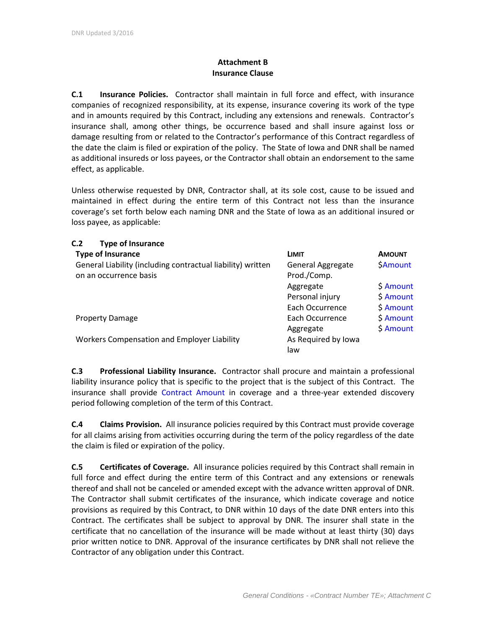# **Attachment B Insurance Clause**

**C.1 Insurance Policies.** Contractor shall maintain in full force and effect, with insurance companies of recognized responsibility, at its expense, insurance covering its work of the type and in amounts required by this Contract, including any extensions and renewals. Contractor's insurance shall, among other things, be occurrence based and shall insure against loss or damage resulting from or related to the Contractor's performance of this Contract regardless of the date the claim is filed or expiration of the policy. The State of Iowa and DNR shall be named as additional insureds or loss payees, or the Contractor shall obtain an endorsement to the same effect, as applicable.

Unless otherwise requested by DNR, Contractor shall, at its sole cost, cause to be issued and maintained in effect during the entire term of this Contract not less than the insurance coverage's set forth below each naming DNR and the State of Iowa as an additional insured or loss payee, as applicable:

| <b>Type of Insurance</b><br>C.2                                                       |                                         |               |
|---------------------------------------------------------------------------------------|-----------------------------------------|---------------|
| <b>Type of Insurance</b>                                                              | <b>LIMIT</b>                            | <b>AMOUNT</b> |
| General Liability (including contractual liability) written<br>on an occurrence basis | <b>General Aggregate</b><br>Prod./Comp. | SAmount       |
|                                                                                       | Aggregate                               | \$ Amount     |
|                                                                                       | Personal injury                         | \$ Amount     |
|                                                                                       | Each Occurrence                         | \$ Amount     |
| <b>Property Damage</b>                                                                | Each Occurrence                         | \$ Amount     |
|                                                                                       | Aggregate                               | \$ Amount     |
| Workers Compensation and Employer Liability                                           | As Required by Iowa                     |               |
|                                                                                       | law                                     |               |

**C.3 Professional Liability Insurance.** Contractor shall procure and maintain a professional liability insurance policy that is specific to the project that is the subject of this Contract. The insurance shall provide Contract Amount in coverage and a three-year extended discovery period following completion of the term of this Contract.

**C.4 Claims Provision.** All insurance policies required by this Contract must provide coverage for all claims arising from activities occurring during the term of the policy regardless of the date the claim is filed or expiration of the policy.

**C.5 Certificates of Coverage.** All insurance policies required by this Contract shall remain in full force and effect during the entire term of this Contract and any extensions or renewals thereof and shall not be canceled or amended except with the advance written approval of DNR. The Contractor shall submit certificates of the insurance, which indicate coverage and notice provisions as required by this Contract, to DNR within 10 days of the date DNR enters into this Contract. The certificates shall be subject to approval by DNR. The insurer shall state in the certificate that no cancellation of the insurance will be made without at least thirty (30) days prior written notice to DNR. Approval of the insurance certificates by DNR shall not relieve the Contractor of any obligation under this Contract.